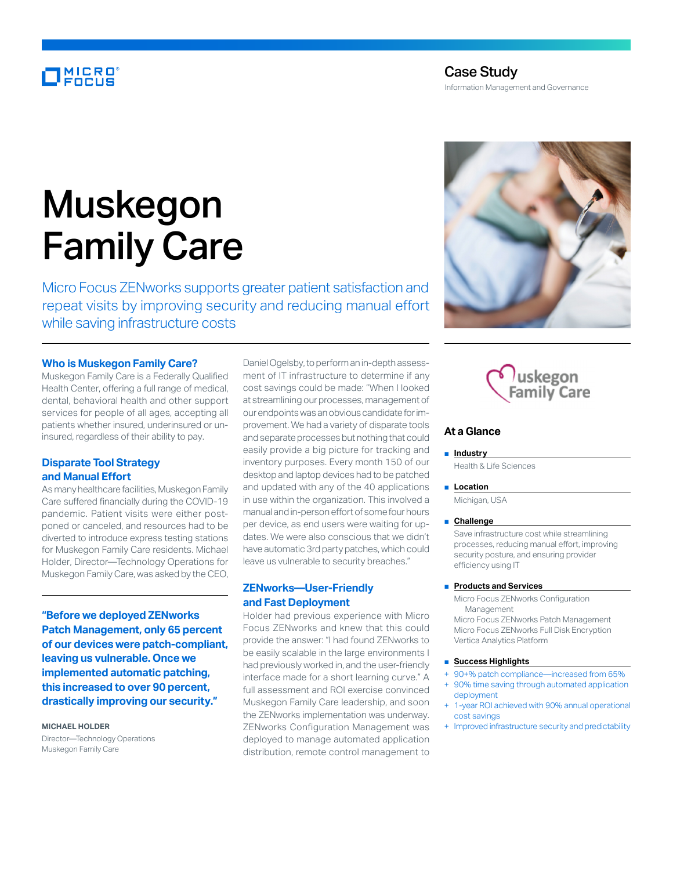# MICRO

# Case Study Information Management and Governance

# Muskegon Family Care

Micro Focus ZENworks supports greater patient satisfaction and repeat visits by improving security and reducing manual effort while saving infrastructure costs

#### **Who is Muskegon Family Care?**

Muskegon Family Care is a Federally Qualified Health Center, offering a full range of medical, dental, behavioral health and other support services for people of all ages, accepting all patients whether insured, underinsured or uninsured, regardless of their ability to pay.

### **Disparate Tool Strategy and Manual Effort**

As many healthcare facilities, Muskegon Family Care suffered financially during the COVID-19 pandemic. Patient visits were either postponed or canceled, and resources had to be diverted to introduce express testing stations for Muskegon Family Care residents. Michael Holder, Director—Technology Operations for Muskegon Family Care, was asked by the CEO,

**"Before we deployed ZENworks Patch Management, only 65 percent of our devices were patch-compliant, leaving us vulnerable. Once we implemented automatic patching, this increased to over 90 percent, drastically improving our security."**

**MICHAEL HOLDER**

Director—Technology Operations Muskegon Family Care

Daniel Ogelsby, to perform an in-depth assessment of IT infrastructure to determine if any cost savings could be made: "When I looked at streamlining our processes, management of our endpoints was an obvious candidate for improvement. We had a variety of disparate tools and separate processes but nothing that could easily provide a big picture for tracking and inventory purposes. Every month 150 of our desktop and laptop devices had to be patched and updated with any of the 40 applications in use within the organization. This involved a manual and in-person effort of some four hours per device, as end users were waiting for updates. We were also conscious that we didn't have automatic 3rd party patches, which could leave us vulnerable to security breaches."

## **ZENworks—User-Friendly and Fast Deployment**

Holder had previous experience with Micro Focus ZENworks and knew that this could provide the answer: "I had found ZENworks to be easily scalable in the large environments I had previously worked in, and the user-friendly interface made for a short learning curve." A full assessment and ROI exercise convinced Muskegon Family Care leadership, and soon the ZENworks implementation was underway. ZENworks Configuration Management was deployed to manage automated application distribution, remote control management to





#### **At a Glance**

#### ■ **Industry**

Health & Life Sciences

#### ■ **Location**

Michigan, USA

#### ■ **Challenge**

Save infrastructure cost while streamlining processes, reducing manual effort, improving security posture, and ensuring provider efficiency using IT

#### ■ **Products and Services**

Micro Focus ZENworks Configuration Management Micro Focus ZENworks Patch Management Micro Focus ZENworks Full Disk Encryption Vertica Analytics Platform

#### ■ **Success Highlights**

- 90+% patch compliance—increased from 65%
- 90% time saving through automated application deployment
- 1-year ROI achieved with 90% annual operational cost savings
- Improved infrastructure security and predictability